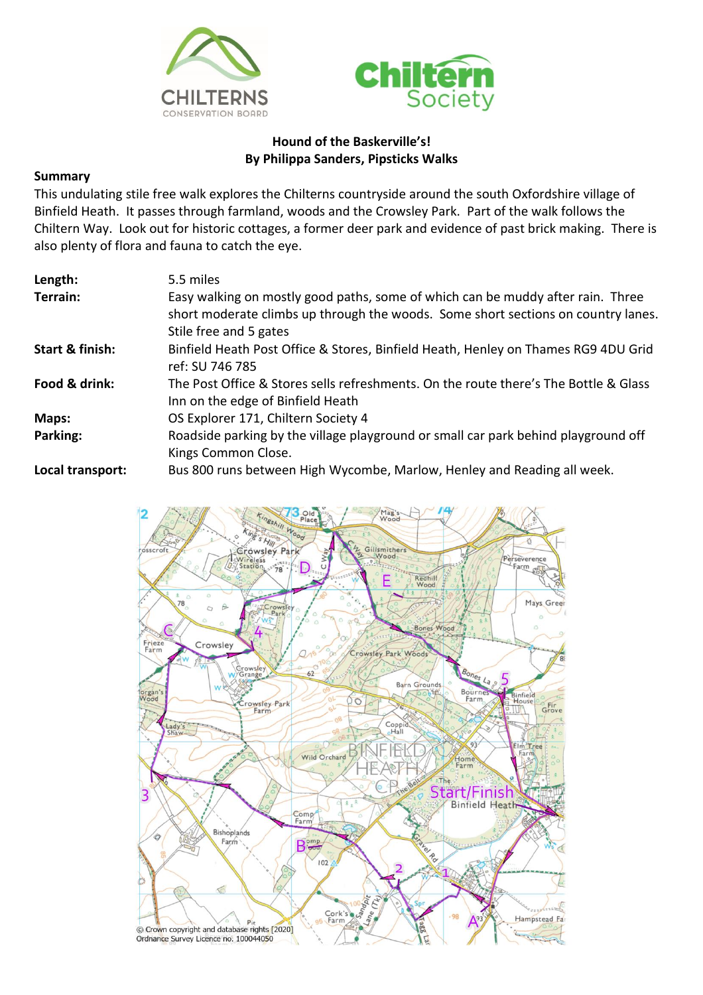



## **Hound of the Baskerville's! By Philippa Sanders, Pipsticks Walks**

## **Summary**

This undulating stile free walk explores the Chilterns countryside around the south Oxfordshire village of Binfield Heath. It passes through farmland, woods and the Crowsley Park. Part of the walk follows the Chiltern Way. Look out for historic cottages, a former deer park and evidence of past brick making. There is also plenty of flora and fauna to catch the eye.

| Length:          | 5.5 miles                                                                                                                                                                                      |
|------------------|------------------------------------------------------------------------------------------------------------------------------------------------------------------------------------------------|
| Terrain:         | Easy walking on mostly good paths, some of which can be muddy after rain. Three<br>short moderate climbs up through the woods. Some short sections on country lanes.<br>Stile free and 5 gates |
| Start & finish:  | Binfield Heath Post Office & Stores, Binfield Heath, Henley on Thames RG9 4DU Grid<br>ref: SU 746 785                                                                                          |
| Food & drink:    | The Post Office & Stores sells refreshments. On the route there's The Bottle & Glass<br>Inn on the edge of Binfield Heath                                                                      |
| Maps:            | OS Explorer 171, Chiltern Society 4                                                                                                                                                            |
| Parking:         | Roadside parking by the village playground or small car park behind playground off<br>Kings Common Close.                                                                                      |
| Local transport: | Bus 800 runs between High Wycombe, Marlow, Henley and Reading all week.                                                                                                                        |